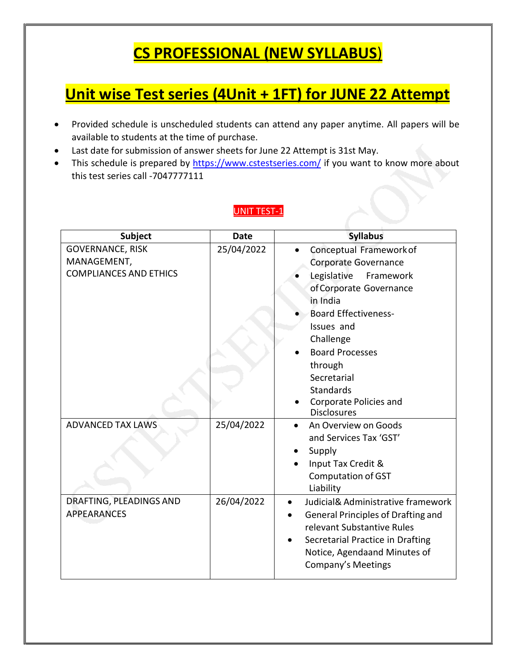## **CS PROFESSIONAL (NEW SYLLABUS**)

## **Unit wise Test series (4Unit + 1FT) for JUNE 22 Attempt**

- Provided schedule is unscheduled students can attend any paper anytime. All papers will be available to students at the time of purchase.
- Last date for submission of answer sheets for June 22 Attempt is 31st May.
- This schedule is prepared by <https://www.cstestseries.com/> if you want to know more about this test series call -7047777111

#### UNIT TEST-1

| <b>Subject</b>                | <b>Date</b> | <b>Syllabus</b>                                 |
|-------------------------------|-------------|-------------------------------------------------|
| <b>GOVERNANCE, RISK</b>       | 25/04/2022  | Conceptual Framework of                         |
| MANAGEMENT,                   |             | Corporate Governance                            |
| <b>COMPLIANCES AND ETHICS</b> |             | Legislative<br>Framework                        |
|                               |             | of Corporate Governance                         |
|                               |             | in India                                        |
|                               |             | <b>Board Effectiveness-</b>                     |
|                               |             | Issues and                                      |
|                               |             | Challenge                                       |
|                               |             | <b>Board Processes</b>                          |
|                               |             | through                                         |
|                               |             | Secretarial                                     |
|                               |             | <b>Standards</b>                                |
|                               |             | Corporate Policies and                          |
|                               |             | <b>Disclosures</b>                              |
| <b>ADVANCED TAX LAWS</b>      | 25/04/2022  | An Overview on Goods                            |
|                               |             | and Services Tax 'GST'                          |
|                               |             | Supply                                          |
|                               |             | Input Tax Credit &                              |
|                               |             | <b>Computation of GST</b>                       |
|                               |             | Liability                                       |
| DRAFTING, PLEADINGS AND       | 26/04/2022  | Judicial& Administrative framework<br>$\bullet$ |
| <b>APPEARANCES</b>            |             | <b>General Principles of Drafting and</b>       |
|                               |             | relevant Substantive Rules                      |
|                               |             | Secretarial Practice in Drafting                |
|                               |             | Notice, Agendaand Minutes of                    |
|                               |             | Company's Meetings                              |
|                               |             |                                                 |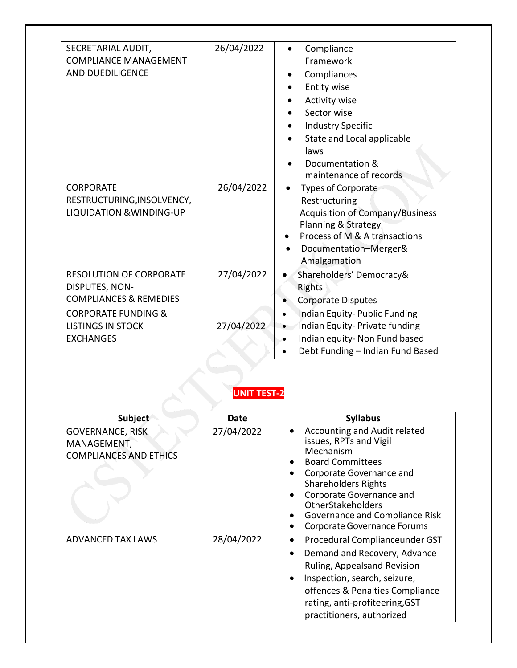| SECRETARIAL AUDIT,<br><b>COMPLIANCE MANAGEMENT</b><br><b>AND DUEDILIGENCE</b><br><b>CORPORATE</b><br>RESTRUCTURING, INSOLVENCY,<br><b>LIQUIDATION &amp; WINDING-UP</b> | 26/04/2022<br>26/04/2022 | Compliance<br>Framework<br>Compliances<br>Entity wise<br><b>Activity wise</b><br>Sector wise<br><b>Industry Specific</b><br>State and Local applicable<br>laws<br>Documentation &<br>maintenance of records<br><b>Types of Corporate</b><br>Restructuring<br><b>Acquisition of Company/Business</b><br>Planning & Strategy<br>Process of M & A transactions<br>Documentation-Merger& |
|------------------------------------------------------------------------------------------------------------------------------------------------------------------------|--------------------------|--------------------------------------------------------------------------------------------------------------------------------------------------------------------------------------------------------------------------------------------------------------------------------------------------------------------------------------------------------------------------------------|
| <b>RESOLUTION OF CORPORATE</b><br>DISPUTES, NON-<br><b>COMPLIANCES &amp; REMEDIES</b><br><b>CORPORATE FUNDING &amp;</b>                                                | 27/04/2022               | Amalgamation<br>Shareholders' Democracy&<br>$\bullet$<br>Rights<br><b>Corporate Disputes</b><br>Indian Equity-Public Funding<br>$\bullet$                                                                                                                                                                                                                                            |
| <b>LISTINGS IN STOCK</b><br><b>EXCHANGES</b>                                                                                                                           | 27/04/2022               | Indian Equity- Private funding<br>$\bullet$<br>Indian equity- Non Fund based<br>Debt Funding - Indian Fund Based<br>$\bullet$                                                                                                                                                                                                                                                        |

#### **UNIT TEST-2**

| <b>Subject</b>                                                          | Date       | <b>Syllabus</b>                                                                                                                                                                                                                                                                          |
|-------------------------------------------------------------------------|------------|------------------------------------------------------------------------------------------------------------------------------------------------------------------------------------------------------------------------------------------------------------------------------------------|
| <b>GOVERNANCE, RISK</b><br>MANAGEMENT,<br><b>COMPLIANCES AND ETHICS</b> | 27/04/2022 | Accounting and Audit related<br>issues, RPTs and Vigil<br>Mechanism<br><b>Board Committees</b><br>Corporate Governance and<br><b>Shareholders Rights</b><br>Corporate Governance and<br><b>OtherStakeholders</b><br>Governance and Compliance Risk<br><b>Corporate Governance Forums</b> |
| <b>ADVANCED TAX LAWS</b>                                                | 28/04/2022 | Procedural Complianceunder GST<br>Demand and Recovery, Advance<br>Ruling, Appealsand Revision<br>Inspection, search, seizure,<br>offences & Penalties Compliance<br>rating, anti-profiteering, GST<br>practitioners, authorized                                                          |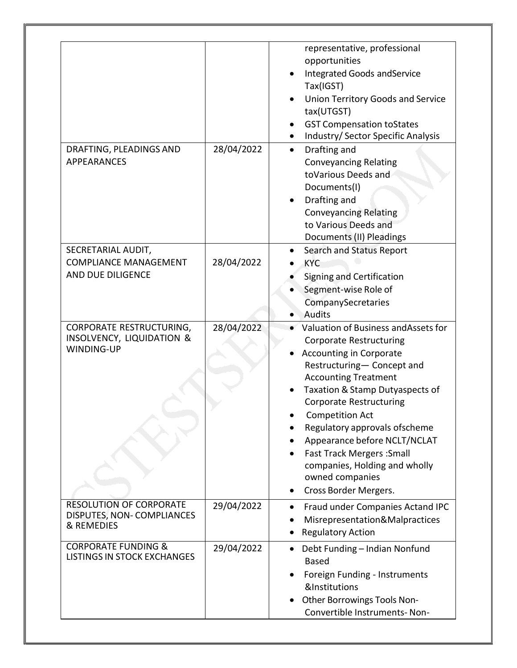|                                                                                       |            | representative, professional<br>opportunities<br><b>Integrated Goods and Service</b><br>Tax(IGST)<br><b>Union Territory Goods and Service</b><br>tax(UTGST)<br><b>GST Compensation toStates</b><br>Industry/ Sector Specific Analysis                                                                                                                                                                                                                  |
|---------------------------------------------------------------------------------------|------------|--------------------------------------------------------------------------------------------------------------------------------------------------------------------------------------------------------------------------------------------------------------------------------------------------------------------------------------------------------------------------------------------------------------------------------------------------------|
| DRAFTING, PLEADINGS AND<br><b>APPEARANCES</b>                                         | 28/04/2022 | Drafting and<br>$\bullet$<br><b>Conveyancing Relating</b><br>toVarious Deeds and<br>Documents(I)<br>Drafting and<br><b>Conveyancing Relating</b><br>to Various Deeds and<br>Documents (II) Pleadings                                                                                                                                                                                                                                                   |
| SECRETARIAL AUDIT,<br><b>COMPLIANCE MANAGEMENT</b><br>AND DUE DILIGENCE               | 28/04/2022 | Search and Status Report<br><b>KYC</b><br>Signing and Certification<br>Segment-wise Role of<br>CompanySecretaries<br>Audits                                                                                                                                                                                                                                                                                                                            |
| <b>CORPORATE RESTRUCTURING,</b><br><b>INSOLVENCY, LIQUIDATION &amp;</b><br>WINDING-UP | 28/04/2022 | Valuation of Business and Assets for<br><b>Corporate Restructuring</b><br><b>Accounting in Corporate</b><br>Restructuring- Concept and<br><b>Accounting Treatment</b><br>Taxation & Stamp Dutyaspects of<br><b>Corporate Restructuring</b><br><b>Competition Act</b><br>Regulatory approvals ofscheme<br>Appearance before NCLT/NCLAT<br><b>Fast Track Mergers: Small</b><br>companies, Holding and wholly<br>owned companies<br>Cross Border Mergers. |
| <b>RESOLUTION OF CORPORATE</b><br>DISPUTES, NON-COMPLIANCES<br>& REMEDIES             | 29/04/2022 | Fraud under Companies Actand IPC<br>Misrepresentation&Malpractices<br><b>Regulatory Action</b>                                                                                                                                                                                                                                                                                                                                                         |
| <b>CORPORATE FUNDING &amp;</b><br><b>LISTINGS IN STOCK EXCHANGES</b>                  | 29/04/2022 | Debt Funding - Indian Nonfund<br><b>Based</b><br>Foreign Funding - Instruments<br>&Institutions<br>Other Borrowings Tools Non-<br>Convertible Instruments-Non-                                                                                                                                                                                                                                                                                         |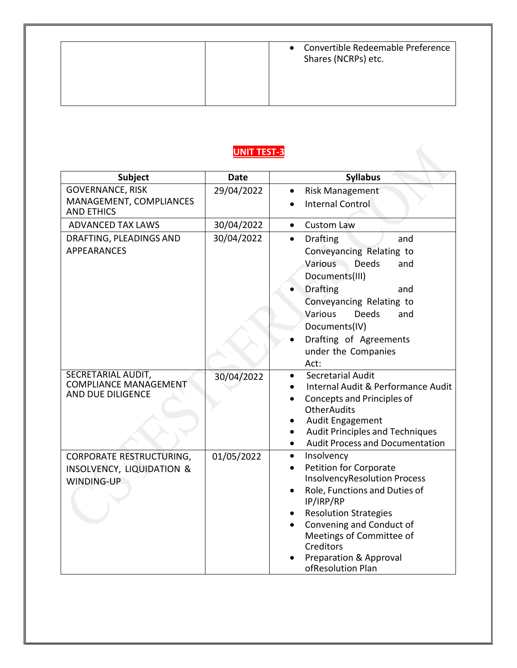### **UNIT TEST-3**

| <b>Subject</b>                                                          | <b>Date</b> | <b>Syllabus</b>                                                                                                                                                                                                            |
|-------------------------------------------------------------------------|-------------|----------------------------------------------------------------------------------------------------------------------------------------------------------------------------------------------------------------------------|
| <b>GOVERNANCE, RISK</b>                                                 | 29/04/2022  | <b>Risk Management</b>                                                                                                                                                                                                     |
| MANAGEMENT, COMPLIANCES<br><b>AND ETHICS</b>                            |             | <b>Internal Control</b>                                                                                                                                                                                                    |
| <b>ADVANCED TAX LAWS</b>                                                | 30/04/2022  | <b>Custom Law</b><br>$\bullet$                                                                                                                                                                                             |
| DRAFTING, PLEADINGS AND                                                 | 30/04/2022  | <b>Drafting</b><br>$\bullet$<br>and                                                                                                                                                                                        |
| <b>APPEARANCES</b>                                                      |             | Conveyancing Relating to                                                                                                                                                                                                   |
|                                                                         |             | Various<br><b>Deeds</b><br>and<br>Documents(III)                                                                                                                                                                           |
|                                                                         |             | <b>Drafting</b><br>and                                                                                                                                                                                                     |
|                                                                         |             | Conveyancing Relating to                                                                                                                                                                                                   |
|                                                                         |             | Various<br><b>Deeds</b><br>and                                                                                                                                                                                             |
|                                                                         |             | Documents(IV)                                                                                                                                                                                                              |
|                                                                         |             | Drafting of Agreements                                                                                                                                                                                                     |
|                                                                         |             | under the Companies<br>Act:                                                                                                                                                                                                |
| SECRETARIAL AUDIT,<br><b>COMPLIANCE MANAGEMENT</b><br>AND DUE DILIGENCE | 30/04/2022  | <b>Secretarial Audit</b><br>Internal Audit & Performance Audit<br>Concepts and Principles of<br><b>OtherAudits</b><br>Audit Engagement<br><b>Audit Principles and Techniques</b><br><b>Audit Process and Documentation</b> |
| CORPORATE RESTRUCTURING,                                                | 01/05/2022  | Insolvency<br>$\bullet$                                                                                                                                                                                                    |
| <b>INSOLVENCY, LIQUIDATION &amp;</b>                                    |             | <b>Petition for Corporate</b><br><b>InsolvencyResolution Process</b>                                                                                                                                                       |
| WINDING-UP                                                              |             | Role, Functions and Duties of                                                                                                                                                                                              |
|                                                                         |             | IP/IRP/RP                                                                                                                                                                                                                  |
|                                                                         |             | <b>Resolution Strategies</b>                                                                                                                                                                                               |
|                                                                         |             | Convening and Conduct of<br>Meetings of Committee of<br>Creditors                                                                                                                                                          |
|                                                                         |             | <b>Preparation &amp; Approval</b>                                                                                                                                                                                          |
|                                                                         |             | ofResolution Plan                                                                                                                                                                                                          |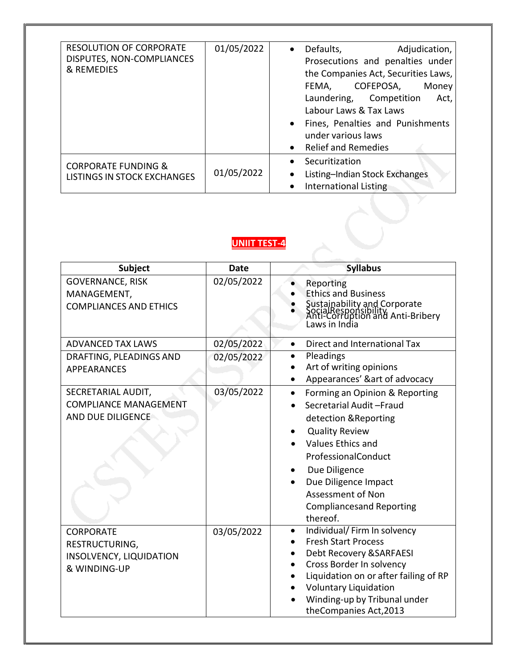| <b>RESOLUTION OF CORPORATE</b><br>DISPUTES, NON-COMPLIANCES<br>& REMEDIES | 01/05/2022 | Defaults,<br>Adjudication,<br>$\bullet$<br>Prosecutions and penalties under<br>the Companies Act, Securities Laws,<br>COFEPOSA,<br>FEMA,<br>Money<br>Laundering, Competition<br>Act,<br>Labour Laws & Tax Laws<br>Fines, Penalties and Punishments<br>under various laws<br><b>Relief and Remedies</b> |
|---------------------------------------------------------------------------|------------|--------------------------------------------------------------------------------------------------------------------------------------------------------------------------------------------------------------------------------------------------------------------------------------------------------|
| <b>CORPORATE FUNDING &amp;</b><br>LISTINGS IN STOCK EXCHANGES             | 01/05/2022 | Securitization<br>Listing-Indian Stock Exchanges<br><b>International Listing</b>                                                                                                                                                                                                                       |

#### **UNIIT TEST-4**

| Subject                                                                       | <b>Date</b> | <b>Syllabus</b>                                                                                                                                                                                                                                                                          |
|-------------------------------------------------------------------------------|-------------|------------------------------------------------------------------------------------------------------------------------------------------------------------------------------------------------------------------------------------------------------------------------------------------|
| <b>GOVERNANCE, RISK</b><br>MANAGEMENT,<br><b>COMPLIANCES AND ETHICS</b>       | 02/05/2022  | Reporting<br><b>Ethics and Business</b><br>Sustainability and Corporate<br>SocialResponsibility<br>Anti-Corruption and Anti-Bribery<br>Laws in India                                                                                                                                     |
| <b>ADVANCED TAX LAWS</b>                                                      | 02/05/2022  | Direct and International Tax<br>$\bullet$                                                                                                                                                                                                                                                |
| DRAFTING, PLEADINGS AND<br><b>APPEARANCES</b>                                 | 02/05/2022  | Pleadings<br>Art of writing opinions<br>Appearances' &art of advocacy                                                                                                                                                                                                                    |
| SECRETARIAL AUDIT,<br><b>COMPLIANCE MANAGEMENT</b><br>AND DUE DILIGENCE       | 03/05/2022  | Forming an Opinion & Reporting<br>$\bullet$<br>Secretarial Audit-Fraud<br>detection & Reporting<br><b>Quality Review</b><br>Values Ethics and<br>ProfessionalConduct<br>Due Diligence<br>Due Diligence Impact<br><b>Assessment of Non</b><br><b>Compliancesand Reporting</b><br>thereof. |
| <b>CORPORATE</b><br>RESTRUCTURING,<br>INSOLVENCY, LIQUIDATION<br>& WINDING-UP | 03/05/2022  | Individual/ Firm In solvency<br>$\bullet$<br><b>Fresh Start Process</b><br>Debt Recovery & SARFAESI<br>Cross Border In solvency<br>Liquidation on or after failing of RP<br><b>Voluntary Liquidation</b><br>Winding-up by Tribunal under<br>theCompanies Act, 2013                       |